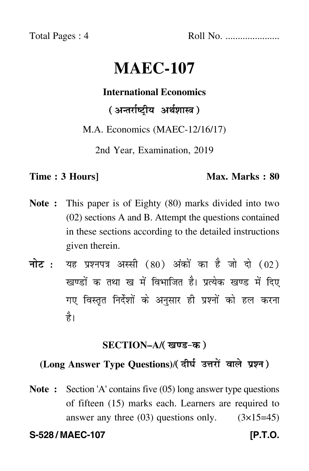Total Pages : 4 Roll No. ......................

# **MAEC-107**

#### **International Economics**

( अन्तर्राष्ट्रीय अर्थशास्त्र )

M.A. Economics (MAEC-12/16/17)

2nd Year, Examination, 2019

#### **Time : 3 Hours]** Max. Marks : 80

- **Note :** This paper is of Eighty (80) marks divided into two (02) sections A and B. Attempt the questions contained in these sections according to the detailed instructions given therein.
- नोट : यह प्रश्नपत्र अस्सी (80) अंकों का है जो दो (02) खण्डों क तथा ख में विभाजित है। प्रत्येक खण्ड में दिए गए विस्तृत निर्देशों के अनुसार ही प्रश्नों को हल करन<mark>ा</mark> है।

#### **SECTION–A/**

## (Long Answer Type Questions)/(दीर्घ उत्तरों वाले प्रश्न)

**Note :** Section 'A' contains five (05) long answer type questions of fifteen (15) marks each. Learners are required to answer any three  $(03)$  questions only.  $(3\times15=45)$ 

**S-528 / MAEC-107 [P.T.O.**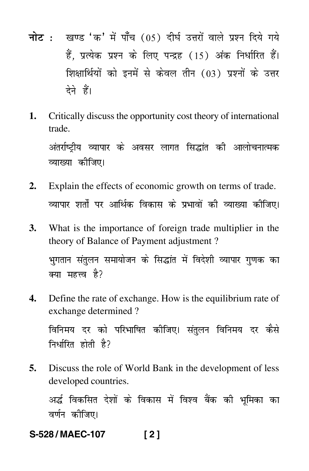- नोट : खण्ड 'क' में पाँच (05) दीर्घ उत्तरों वाले प्रश्न दिये गये हैं. प्रत्येक प्रश्न के लिए पन्द्रह (15) अंक निर्धारित हैं। शिक्षार्थियों को इनमें से केवल तीन (03) प्रश्नों के उत्तर देने हैं।
- Critically discuss the opportunity cost theory of international 1. trade

अंतर्राष्टीय व्यापार के अवसर लागत सिद्धांत की आलोचनात्मक व्याख्या कीजिए।

- Explain the effects of economic growth on terms of trade.  $2.$ व्यापार शर्तों पर आर्थिक विकास के प्रभावों की व्याख्या कीजिए।
- What is the importance of foreign trade multiplier in the 3. theory of Balance of Payment adjustment? भगतान संतुलन समायोजन के सिद्धांत में विदेशी व्यापार गुणक का क्या महत्त्व है?
- Define the rate of exchange. How is the equilibrium rate of 4. exchange determined?

विनिमय दर को परिभाषित कीजिए। संतुलन विनिमय दर कैसे निर्धारित होती है?

5. Discuss the role of World Bank in the development of less developed countries.

अर्द्ध विकसित देशों के विकास में विश्व बैंक की भूमिका का वर्णन कीजिए।

S-528/MAEC-107  $121$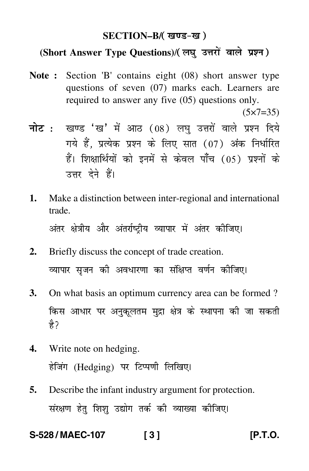#### **SECTION–B/**

## (Short Answer Type Questions)/(लघ उत्तरों वाले प्रश्न)

**Note :** Section 'B' contains eight (08) short answer type questions of seven (07) marks each. Learners are required to answer any five (05) questions only.

 $(5 \times 7 = 35)$ 

- <mark>नोट</mark> : खण्ड 'ख' में आठ (08) लघु उत्तरों वाले प्रश्न दिये गये हैं, प्रत्येक प्रश्न के लिए सात (07) अंक निर्धारित हैं। शिक्षार्थियों को इनमें से केवल पाँच (05) प्रश्नों के उत्तर देने हैं।
- **1.** Make a distinction between inter-regional and international trade. अंतर क्षेत्रीय और अंतर्राष्ट्रीय व्यापार में अंतर कीजिए।
- **2.** Briefly discuss the concept of trade creation. व्यापार सृजन की अवधारणा का संक्षिप्त वर्णन कीजिए।
- **3.** On what basis an optimum currency area can be formed ? किस आधार पर अनुकूलतम मुद्रा क्षेत्र के स्थापना की जा सकती ੜੇ $\overrightarrow{z}$
- **4.** Write note on hedging. हेजिंग (Hedging) पर टिप्पणी लिखिए।
- **5.** Describe the infant industry argument for protection. संरक्षण हेतु शिशु उद्योग तर्क की व्याख्या कीजिए।

**S-528 / MAEC-107 [ 3 ] [P.T.O.**